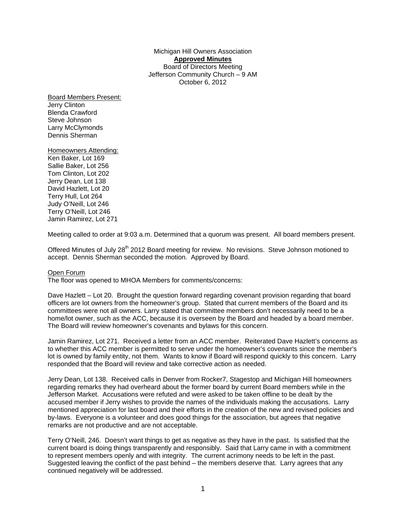Michigan Hill Owners Association **Approved Minutes** Board of Directors Meeting Jefferson Community Church – 9 AM October 6, 2012

Board Members Present: Jerry Clinton Blenda Crawford Steve Johnson Larry McClymonds Dennis Sherman

Homeowners Attending: Ken Baker, Lot 169 Sallie Baker, Lot 256 Tom Clinton, Lot 202 Jerry Dean, Lot 138 David Hazlett, Lot 20 Terry Hull, Lot 264 Judy O'Neill, Lot 246 Terry O'Neill, Lot 246 Jamin Ramirez, Lot 271

Meeting called to order at 9:03 a.m. Determined that a quorum was present. All board members present.

Offered Minutes of July 28<sup>th</sup> 2012 Board meeting for review. No revisions. Steve Johnson motioned to accept. Dennis Sherman seconded the motion. Approved by Board.

#### Open Forum

The floor was opened to MHOA Members for comments/concerns:

Dave Hazlett – Lot 20. Brought the question forward regarding covenant provision regarding that board officers are lot owners from the homeowner's group. Stated that current members of the Board and its committees were not all owners. Larry stated that committee members don't necessarily need to be a home/lot owner, such as the ACC, because it is overseen by the Board and headed by a board member. The Board will review homeowner's covenants and bylaws for this concern.

Jamin Ramirez, Lot 271. Received a letter from an ACC member. Reiterated Dave Hazlett's concerns as to whether this ACC member is permitted to serve under the homeowner's covenants since the member's lot is owned by family entity, not them. Wants to know if Board will respond quickly to this concern. Larry responded that the Board will review and take corrective action as needed.

Jerry Dean, Lot 138. Received calls in Denver from Rocker7, Stagestop and Michigan Hill homeowners regarding remarks they had overheard about the former board by current Board members while in the Jefferson Market. Accusations were refuted and were asked to be taken offline to be dealt by the accused member if Jerry wishes to provide the names of the individuals making the accusations. Larry mentioned appreciation for last board and their efforts in the creation of the new and revised policies and by-laws. Everyone is a volunteer and does good things for the association, but agrees that negative remarks are not productive and are not acceptable.

Terry O'Neill, 246. Doesn't want things to get as negative as they have in the past. Is satisfied that the current board is doing things transparently and responsibly. Said that Larry came in with a commitment to represent members openly and with integrity. The current acrimony needs to be left in the past. Suggested leaving the conflict of the past behind – the members deserve that. Larry agrees that any continued negatively will be addressed.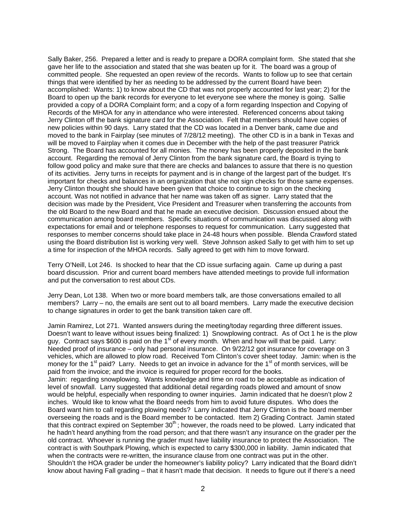Sally Baker, 256. Prepared a letter and is ready to prepare a DORA complaint form. She stated that she gave her life to the association and stated that she was beaten up for it. The board was a group of committed people. She requested an open review of the records. Wants to follow up to see that certain things that were identified by her as needing to be addressed by the current Board have been accomplished: Wants: 1) to know about the CD that was not properly accounted for last year; 2) for the Board to open up the bank records for everyone to let everyone see where the money is going. Sallie provided a copy of a DORA Complaint form; and a copy of a form regarding Inspection and Copying of Records of the MHOA for any in attendance who were interested. Referenced concerns about taking Jerry Clinton off the bank signature card for the Association. Felt that members should have copies of new policies within 90 days. Larry stated that the CD was located in a Denver bank, came due and moved to the bank in Fairplay (see minutes of 7/28/12 meeting). The other CD is in a bank in Texas and will be moved to Fairplay when it comes due in December with the help of the past treasurer Patrick Strong. The Board has accounted for all monies. The money has been properly deposited in the bank account. Regarding the removal of Jerry Clinton from the bank signature card, the Board is trying to follow good policy and make sure that there are checks and balances to assure that there is no question of its activities. Jerry turns in receipts for payment and is in change of the largest part of the budget. It's important for checks and balances in an organization that she not sign checks for those same expenses. Jerry Clinton thought she should have been given that choice to continue to sign on the checking account. Was not notified in advance that her name was taken off as signer. Larry stated that the decision was made by the President, Vice President and Treasurer when transferring the accounts from the old Board to the new Board and that he made an executive decision. Discussion ensued about the communication among board members. Specific situations of communication was discussed along with expectations for email and or telephone responses to request for communication. Larry suggested that responses to member concerns should take place in 24-48 hours when possible. Blenda Crawford stated using the Board distribution list is working very well. Steve Johnson asked Sally to get with him to set up a time for inspection of the MHOA records. Sally agreed to get with him to move forward.

Terry O'Neill, Lot 246. Is shocked to hear that the CD issue surfacing again. Came up during a past board discussion. Prior and current board members have attended meetings to provide full information and put the conversation to rest about CDs.

Jerry Dean, Lot 138. When two or more board members talk, are those conversations emailed to all members? Larry – no, the emails are sent out to all board members. Larry made the executive decision to change signatures in order to get the bank transition taken care off.

Jamin Ramirez, Lot 271. Wanted answers during the meeting/today regarding three different issues. Doesn't want to leave without issues being finalized: 1) Snowplowing contract. As of Oct 1 he is the plow guy. Contract says \$600 is paid on the  $1<sup>st</sup>$  of every month. When and how will that be paid. Larry: Needed proof of insurance – only had personal insurance. On 9/22/12 got insurance for coverage on 3 vehicles, which are allowed to plow road. Received Tom Clinton's cover sheet today. Jamin: when is the money for the  $1<sup>st</sup>$  paid? Larry. Needs to get an invoice in advance for the  $1<sup>st</sup>$  of month services, will be paid from the invoice; and the invoice is required for proper record for the books. Jamin: regarding snowplowing. Wants knowledge and time on road to be acceptable as indication of level of snowfall. Larry suggested that additional detail regarding roads plowed and amount of snow would be helpful, especially when responding to owner inquiries. Jamin indicated that he doesn't plow 2 inches. Would like to know what the Board needs from him to avoid future disputes. Who does the Board want him to call regarding plowing needs? Larry indicated that Jerry Clinton is the board member overseeing the roads and is the Board member to be contacted. Item 2) Grading Contract. Jamin stated that this contract expired on September 30<sup>th</sup>; however, the roads need to be plowed. Larry indicated that he hadn't heard anything from the road person; and that there wasn't any insurance on the grader per the old contract. Whoever is running the grader must have liability insurance to protect the Association. The contract is with Southpark Plowing, which is expected to carry \$300,000 in liability. Jamin indicated that when the contracts were re-written, the insurance clause from one contract was put in the other. Shouldn't the HOA grader be under the homeowner's liability policy? Larry indicated that the Board didn't know about having Fall grading – that it hasn't made that decision. It needs to figure out if there's a need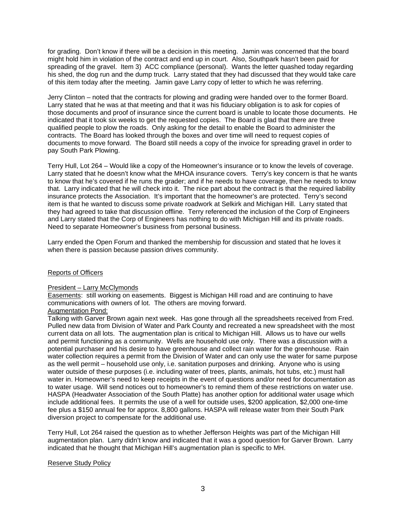for grading. Don't know if there will be a decision in this meeting. Jamin was concerned that the board might hold him in violation of the contract and end up in court. Also, Southpark hasn't been paid for spreading of the gravel. Item 3) ACC compliance (personal). Wants the letter quashed today regarding his shed, the dog run and the dump truck. Larry stated that they had discussed that they would take care of this item today after the meeting. Jamin gave Larry copy of letter to which he was referring.

Jerry Clinton – noted that the contracts for plowing and grading were handed over to the former Board. Larry stated that he was at that meeting and that it was his fiduciary obligation is to ask for copies of those documents and proof of insurance since the current board is unable to locate those documents. He indicated that it took six weeks to get the requested copies. The Board is glad that there are three qualified people to plow the roads. Only asking for the detail to enable the Board to administer the contracts. The Board has looked through the boxes and over time will need to request copies of documents to move forward. The Board still needs a copy of the invoice for spreading gravel in order to pay South Park Plowing.

Terry Hull, Lot 264 – Would like a copy of the Homeowner's insurance or to know the levels of coverage. Larry stated that he doesn't know what the MHOA insurance covers. Terry's key concern is that he wants to know that he's covered if he runs the grader; and if he needs to have coverage, then he needs to know that. Larry indicated that he will check into it. The nice part about the contract is that the required liability insurance protects the Association. It's important that the homeowner's are protected. Terry's second item is that he wanted to discuss some private roadwork at Selkirk and Michigan Hill. Larry stated that they had agreed to take that discussion offline. Terry referenced the inclusion of the Corp of Engineers and Larry stated that the Corp of Engineers has nothing to do with Michigan Hill and its private roads. Need to separate Homeowner's business from personal business.

Larry ended the Open Forum and thanked the membership for discussion and stated that he loves it when there is passion because passion drives community.

#### Reports of Officers

#### President – Larry McClymonds

Easements: still working on easements. Biggest is Michigan Hill road and are continuing to have communications with owners of lot. The others are moving forward.

#### Augmentation Pond:

Talking with Garver Brown again next week. Has gone through all the spreadsheets received from Fred. Pulled new data from Division of Water and Park County and recreated a new spreadsheet with the most current data on all lots. The augmentation plan is critical to Michigan Hill. Allows us to have our wells and permit functioning as a community. Wells are household use only. There was a discussion with a potential purchaser and his desire to have greenhouse and collect rain water for the greenhouse. Rain water collection requires a permit from the Division of Water and can only use the water for same purpose as the well permit – household use only, i.e. sanitation purposes and drinking. Anyone who is using water outside of these purposes (i.e. including water of trees, plants, animals, hot tubs, etc.) must hall water in. Homeowner's need to keep receipts in the event of questions and/or need for documentation as to water usage. Will send notices out to homeowner's to remind them of these restrictions on water use. HASPA (Headwater Association of the South Platte) has another option for additional water usage which include additional fees. It permits the use of a well for outside uses, \$200 application, \$2,000 one-time fee plus a \$150 annual fee for approx. 8,800 gallons. HASPA will release water from their South Park diversion project to compensate for the additional use.

Terry Hull, Lot 264 raised the question as to whether Jefferson Heights was part of the Michigan Hill augmentation plan. Larry didn't know and indicated that it was a good question for Garver Brown. Larry indicated that he thought that Michigan Hill's augmentation plan is specific to MH.

#### Reserve Study Policy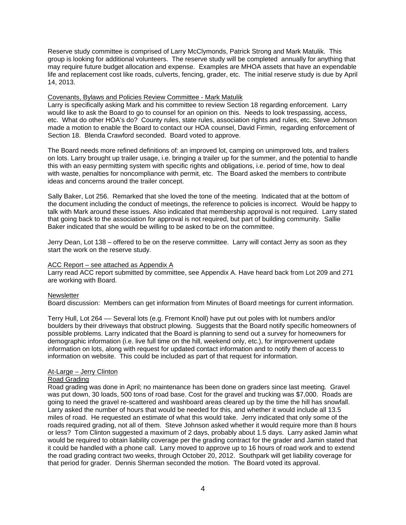Reserve study committee is comprised of Larry McClymonds, Patrick Strong and Mark Matulik. This group is looking for additional volunteers. The reserve study will be completed annually for anything that may require future budget allocation and expense. Examples are MHOA assets that have an expendable life and replacement cost like roads, culverts, fencing, grader, etc. The initial reserve study is due by April 14, 2013.

#### Covenants, Bylaws and Policies Review Committee - Mark Matulik

Larry is specifically asking Mark and his committee to review Section 18 regarding enforcement. Larry would like to ask the Board to go to counsel for an opinion on this. Needs to look trespassing, access, etc. What do other HOA's do? County rules, state rules, association rights and rules, etc. Steve Johnson made a motion to enable the Board to contact our HOA counsel, David Firmin, regarding enforcement of Section 18. Blenda Crawford seconded. Board voted to approve.

The Board needs more refined definitions of: an improved lot, camping on unimproved lots, and trailers on lots. Larry brought up trailer usage, i.e. bringing a trailer up for the summer, and the potential to handle this with an easy permitting system with specific rights and obligations, i.e. period of time, how to deal with waste, penalties for noncompliance with permit, etc. The Board asked the members to contribute ideas and concerns around the trailer concept.

Sally Baker, Lot 256. Remarked that she loved the tone of the meeting. Indicated that at the bottom of the document including the conduct of meetings, the reference to policies is incorrect. Would be happy to talk with Mark around these issues. Also indicated that membership approval is not required. Larry stated that going back to the association for approval is not required, but part of building community. Sallie Baker indicated that she would be willing to be asked to be on the committee.

Jerry Dean, Lot 138 – offered to be on the reserve committee. Larry will contact Jerry as soon as they start the work on the reserve study.

#### ACC Report – see attached as Appendix A

Larry read ACC report submitted by committee, see Appendix A. Have heard back from Lot 209 and 271 are working with Board.

## **Newsletter**

Board discussion: Members can get information from Minutes of Board meetings for current information.

Terry Hull, Lot 264 –– Several lots (e.g. Fremont Knoll) have put out poles with lot numbers and/or boulders by their driveways that obstruct plowing. Suggests that the Board notify specific homeowners of possible problems. Larry indicated that the Board is planning to send out a survey for homeowners for demographic information (i.e. live full time on the hill, weekend only, etc.), for improvement update information on lots, along with request for updated contact information and to notify them of access to information on website. This could be included as part of that request for information.

#### At-Large – Jerry Clinton

### Road Grading

Road grading was done in April; no maintenance has been done on graders since last meeting. Gravel was put down, 30 loads, 500 tons of road base. Cost for the gravel and trucking was \$7,000. Roads are going to need the gravel re-scattered and washboard areas cleared up by the time the hill has snowfall. Larry asked the number of hours that would be needed for this, and whether it would include all 13.5 miles of road. He requested an estimate of what this would take. Jerry indicated that only some of the roads required grading, not all of them. Steve Johnson asked whether it would require more than 8 hours or less? Tom Clinton suggested a maximum of 2 days, probably about 1.5 days. Larry asked Jamin what would be required to obtain liability coverage per the grading contract for the grader and Jamin stated that it could be handled with a phone call. Larry moved to approve up to 16 hours of road work and to extend the road grading contract two weeks, through October 20, 2012. Southpark will get liability coverage for that period for grader. Dennis Sherman seconded the motion. The Board voted its approval.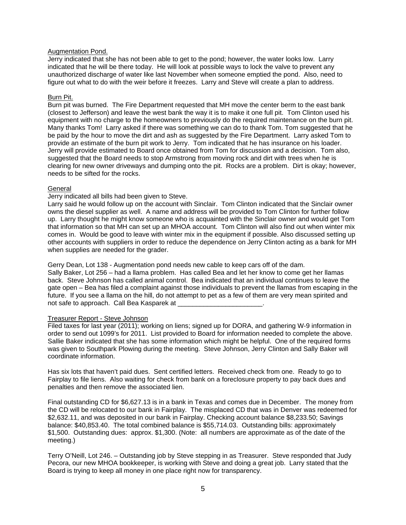#### Augmentation Pond.

Jerry indicated that she has not been able to get to the pond; however, the water looks low. Larry indicated that he will be there today. He will look at possible ways to lock the valve to prevent any unauthorized discharge of water like last November when someone emptied the pond. Also, need to figure out what to do with the weir before it freezes. Larry and Steve will create a plan to address.

#### Burn Pit.

Burn pit was burned. The Fire Department requested that MH move the center berm to the east bank (closest to Jefferson) and leave the west bank the way it is to make it one full pit. Tom Clinton used his equipment with no charge to the homeowners to previously do the required maintenance on the burn pit. Many thanks Tom! Larry asked if there was something we can do to thank Tom. Tom suggested that he be paid by the hour to move the dirt and ash as suggested by the Fire Department. Larry asked Tom to provide an estimate of the burn pit work to Jerry. Tom indicated that he has insurance on his loader. Jerry will provide estimated to Board once obtained from Tom for discussion and a decision. Tom also, suggested that the Board needs to stop Armstrong from moving rock and dirt with trees when he is clearing for new owner driveways and dumping onto the pit. Rocks are a problem. Dirt is okay; however, needs to be sifted for the rocks.

#### **General**

### Jerry indicated all bills had been given to Steve.

Larry said he would follow up on the account with Sinclair. Tom Clinton indicated that the Sinclair owner owns the diesel supplier as well. A name and address will be provided to Tom Clinton for further follow up. Larry thought he might know someone who is acquainted with the Sinclair owner and would get Tom that information so that MH can set up an MHOA account. Tom Clinton will also find out when winter mix comes in. Would be good to leave with winter mix in the equipment if possible. Also discussed setting up other accounts with suppliers in order to reduce the dependence on Jerry Clinton acting as a bank for MH when supplies are needed for the grader.

Gerry Dean, Lot 138 - Augmentation pond needs new cable to keep cars off of the dam. Sally Baker, Lot 256 – had a llama problem. Has called Bea and let her know to come get her llamas back. Steve Johnson has called animal control. Bea indicated that an individual continues to leave the gate open – Bea has filed a complaint against those individuals to prevent the llamas from escaping in the future. If you see a llama on the hill, do not attempt to pet as a few of them are very mean spirited and not safe to approach. Call Bea Kasparek at \_

#### Treasurer Report - Steve Johnson

Filed taxes for last year (2011); working on liens; signed up for DORA, and gathering W-9 information in order to send out 1099's for 2011. List provided to Board for information needed to complete the above. Sallie Baker indicated that she has some information which might be helpful. One of the required forms was given to Southpark Plowing during the meeting. Steve Johnson, Jerry Clinton and Sally Baker will coordinate information.

Has six lots that haven't paid dues. Sent certified letters. Received check from one. Ready to go to Fairplay to file liens. Also waiting for check from bank on a foreclosure property to pay back dues and penalties and then remove the associated lien.

Final outstanding CD for \$6,627.13 is in a bank in Texas and comes due in December. The money from the CD will be relocated to our bank in Fairplay. The misplaced CD that was in Denver was redeemed for \$2,632.11, and was deposited in our bank in Fairplay. Checking account balance \$8,233.50; Savings balance: \$40,853.40. The total combined balance is \$55,714.03. Outstanding bills: approximately \$1,500. Outstanding dues: approx. \$1,300. (Note: all numbers are approximate as of the date of the meeting.)

Terry O'Neill, Lot 246. – Outstanding job by Steve stepping in as Treasurer. Steve responded that Judy Pecora, our new MHOA bookkeeper, is working with Steve and doing a great job. Larry stated that the Board is trying to keep all money in one place right now for transparency.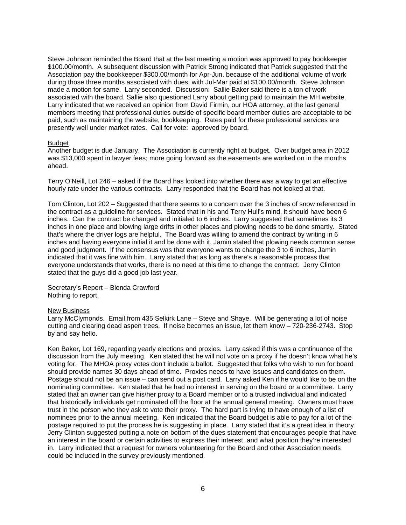Steve Johnson reminded the Board that at the last meeting a motion was approved to pay bookkeeper \$100.00/month. A subsequent discussion with Patrick Strong indicated that Patrick suggested that the Association pay the bookkeeper \$300.00/month for Apr-Jun. because of the additional volume of work during those three months associated with dues; with Jul-Mar paid at \$100.00/month. Steve Johnson made a motion for same. Larry seconded. Discussion: Sallie Baker said there is a ton of work associated with the board. Sallie also questioned Larry about getting paid to maintain the MH website. Larry indicated that we received an opinion from David Firmin, our HOA attorney, at the last general members meeting that professional duties outside of specific board member duties are acceptable to be paid, such as maintaining the website, bookkeeping. Rates paid for these professional services are presently well under market rates. Call for vote: approved by board.

#### Budget

Another budget is due January. The Association is currently right at budget. Over budget area in 2012 was \$13,000 spent in lawyer fees; more going forward as the easements are worked on in the months ahead.

Terry O'Neill, Lot 246 – asked if the Board has looked into whether there was a way to get an effective hourly rate under the various contracts. Larry responded that the Board has not looked at that.

Tom Clinton, Lot 202 – Suggested that there seems to a concern over the 3 inches of snow referenced in the contract as a guideline for services. Stated that in his and Terry Hull's mind, it should have been 6 inches. Can the contract be changed and initialed to 6 inches. Larry suggested that sometimes its 3 inches in one place and blowing large drifts in other places and plowing needs to be done smartly. Stated that's where the driver logs are helpful. The Board was willing to amend the contract by writing in 6 inches and having everyone initial it and be done with it. Jamin stated that plowing needs common sense and good judgment. If the consensus was that everyone wants to change the 3 to 6 inches, Jamin indicated that it was fine with him. Larry stated that as long as there's a reasonable process that everyone understands that works, there is no need at this time to change the contract. Jerry Clinton stated that the guys did a good job last year.

Secretary's Report – Blenda Crawford Nothing to report.

#### New Business

Larry McClymonds. Email from 435 Selkirk Lane – Steve and Shaye. Will be generating a lot of noise cutting and clearing dead aspen trees. If noise becomes an issue, let them know – 720-236-2743. Stop by and say hello.

Ken Baker, Lot 169, regarding yearly elections and proxies. Larry asked if this was a continuance of the discussion from the July meeting. Ken stated that he will not vote on a proxy if he doesn't know what he's voting for. The MHOA proxy votes don't include a ballot. Suggested that folks who wish to run for board should provide names 30 days ahead of time. Proxies needs to have issues and candidates on them. Postage should not be an issue – can send out a post card. Larry asked Ken if he would like to be on the nominating committee. Ken stated that he had no interest in serving on the board or a committee. Larry stated that an owner can give his/her proxy to a Board member or to a trusted individual and indicated that historically individuals get nominated off the floor at the annual general meeting. Owners must have trust in the person who they ask to vote their proxy. The hard part is trying to have enough of a list of nominees prior to the annual meeting. Ken indicated that the Board budget is able to pay for a lot of the postage required to put the process he is suggesting in place. Larry stated that it's a great idea in theory. Jerry Clinton suggested putting a note on bottom of the dues statement that encourages people that have an interest in the board or certain activities to express their interest, and what position they're interested in. Larry indicated that a request for owners volunteering for the Board and other Association needs could be included in the survey previously mentioned.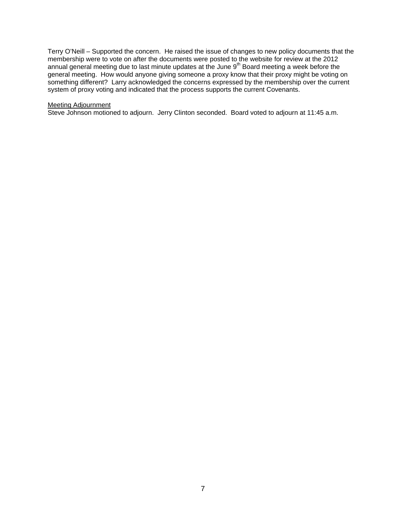Terry O'Neill – Supported the concern. He raised the issue of changes to new policy documents that the membership were to vote on after the documents were posted to the website for review at the 2012 annual general meeting due to last minute updates at the June 9<sup>th</sup> Board meeting a week before the general meeting. How would anyone giving someone a proxy know that their proxy might be voting on something different? Larry acknowledged the concerns expressed by the membership over the current system of proxy voting and indicated that the process supports the current Covenants.

#### Meeting Adjournment

Steve Johnson motioned to adjourn. Jerry Clinton seconded. Board voted to adjourn at 11:45 a.m.